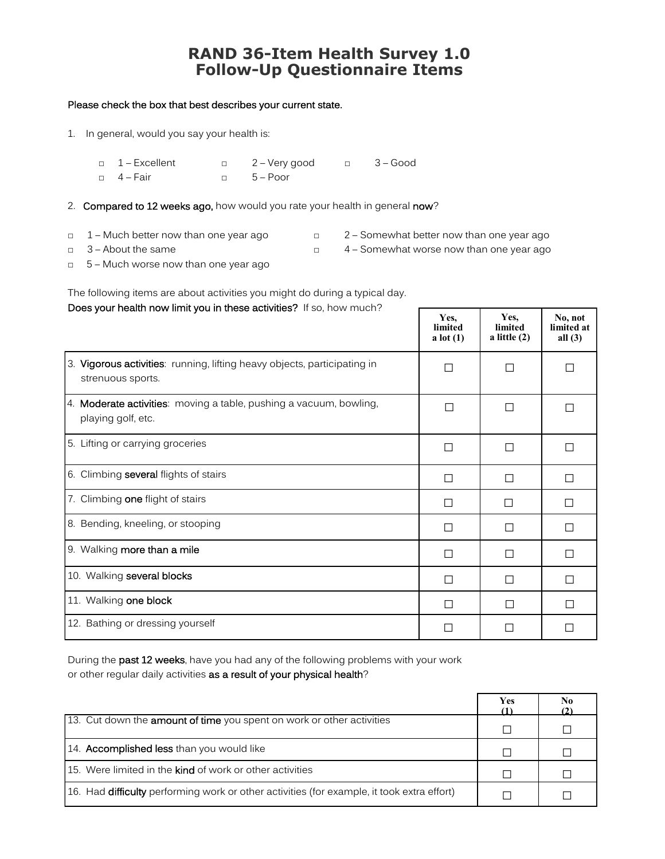## **RAND 36-Item Health Survey 1.0 Follow-Up Questionnaire Items**

## Please check the box that best describes your current state.

1. In general, would you say your health is:

| $\Box$ 1 – Excellent | □ 2-Very good   | $\Box$ 3 – Good |
|----------------------|-----------------|-----------------|
| $\Box$ 4 – Fair      | $\Box$ 5 – Poor |                 |

- 2. Compared to 12 weeks ago, how would you rate your health in general now?
- 
- □ 1 Much better now than one year ago □ 2 Somewhat better now than one year ago
- 
- □ 3 About the same □ 4 Somewhat worse now than one year ago

 $\mathsf{r}$ 

□ 5 – Much worse now than one year ago

The following items are about activities you might do during a typical day.

## Does your health now limit you in these activities? If so, how much?

|                                                                                               | Yes.<br>limited<br>a lot $(1)$ | Yes.<br>limited<br>a little $(2)$ | No, not<br>limited at<br>all $(3)$ |
|-----------------------------------------------------------------------------------------------|--------------------------------|-----------------------------------|------------------------------------|
| 3. Vigorous activities: running, lifting heavy objects, participating in<br>strenuous sports. | П                              | П                                 | П                                  |
| 4. Moderate activities: moving a table, pushing a vacuum, bowling,<br>playing golf, etc.      | П                              | П                                 | П                                  |
| 5. Lifting or carrying groceries                                                              | П                              | П                                 | П                                  |
| 6. Climbing several flights of stairs                                                         | П                              | П                                 | $\Box$                             |
| 7. Climbing one flight of stairs                                                              | П                              | П                                 | $\Box$                             |
| 8. Bending, kneeling, or stooping                                                             | П                              | П                                 | □                                  |
| 9. Walking more than a mile                                                                   | П                              | П                                 | $\Box$                             |
| 10. Walking several blocks                                                                    | П                              | П                                 | $\Box$                             |
| 11. Walking one block                                                                         | П                              | П                                 | П                                  |
| 12. Bathing or dressing yourself                                                              |                                |                                   |                                    |

During the past 12 weeks, have you had any of the following problems with your work or other regular daily activities as a result of your physical health?

|                                                                                                   | Yes | N <sub>0</sub> |
|---------------------------------------------------------------------------------------------------|-----|----------------|
| 13. Cut down the <b>amount of time</b> you spent on work or other activities                      | П   |                |
| 14. <b>Accomplished less</b> than you would like                                                  | П   |                |
| 15. Were limited in the <b>kind</b> of work or other activities                                   | П   |                |
| 16. Had <b>difficulty</b> performing work or other activities (for example, it took extra effort) |     |                |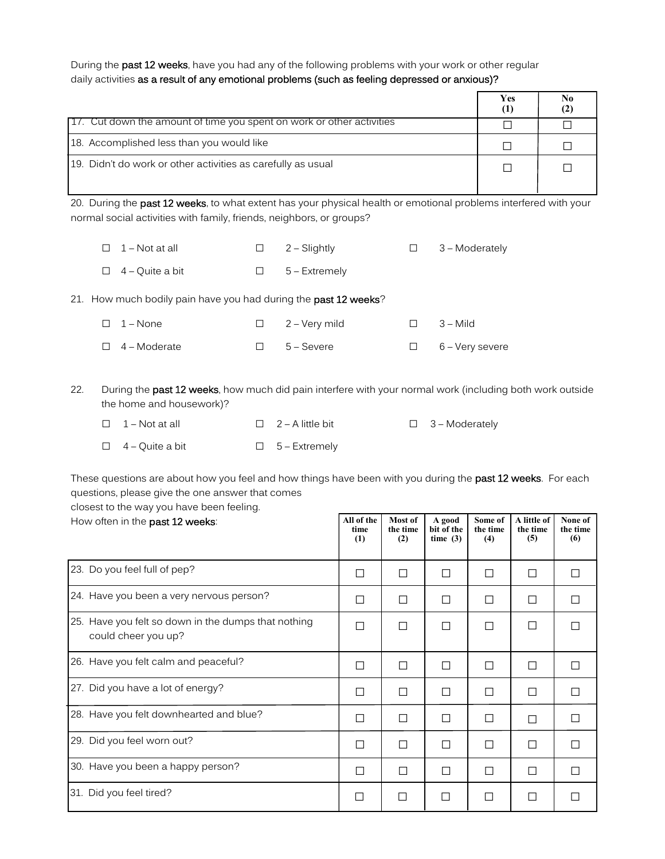During the past 12 weeks, have you had any of the following problems with your work or other regular daily activities as a result of any emotional problems (such as feeling depressed or anxious)?

|                                                                        | Yes<br>(1) | N <sub>0</sub><br>(2) |
|------------------------------------------------------------------------|------------|-----------------------|
| [17. Cut down the amount of time you spent on work or other activities |            |                       |
| 18. Accomplished less than you would like                              |            |                       |
| 19. Didn't do work or other activities as carefully as usual           |            |                       |

20. During the past 12 weeks, to what extent has your physical health or emotional problems interfered with your normal social activities with family, friends, neighbors, or groups?

□ <sup>1</sup>– Not at all □ <sup>2</sup>– Slightly □ <sup>3</sup>– Moderately □ <sup>4</sup>– Quite a bit □ <sup>5</sup>– Extremely

21. How much bodily pain have you had during the past 12 weeks?

| $\Box$ 1 – None     | $\Box$ 2 – Very mild | $\Box$ 3 – Mild        |
|---------------------|----------------------|------------------------|
| $\Box$ 4 – Moderate | $\Box$ 5 – Severe    | $\Box$ 6 – Very severe |

22. During the past 12 weeks, how much did pain interfere with your normal work (including both work outside the home and housework)?

| $\Box$ 1 – Not at all  | $\Box$ 2 – A little bit | $\Box$ 3 – Moderately |
|------------------------|-------------------------|-----------------------|
| $\Box$ 4 – Quite a bit | $\Box$ 5 – Extremely    |                       |

These questions are about how you feel and how things have been with you during the past 12 weeks. For each questions, please give the one answer that comes

closest to the way you have been feeling.

| How often in the past 12 weeks:                                            | All of the<br>time<br>(1) | Most of<br>the time<br>(2) | A good<br>bit of the<br>time $(3)$ | Some of<br>the time<br>(4) | A little of<br>the time<br>(5) | None of<br>the time<br>(6) |
|----------------------------------------------------------------------------|---------------------------|----------------------------|------------------------------------|----------------------------|--------------------------------|----------------------------|
| 23. Do you feel full of pep?                                               | П                         | П                          | П                                  | П                          | П                              | П                          |
| 24. Have you been a very nervous person?                                   | П                         | Ш                          | $\Box$                             | П                          | □                              | П                          |
| 25. Have you felt so down in the dumps that nothing<br>could cheer you up? |                           | П                          | П                                  | П                          | П                              |                            |
| 26. Have you felt calm and peaceful?                                       | $\overline{\phantom{a}}$  | П                          | П                                  | П                          | П                              | П                          |
| 27. Did you have a lot of energy?                                          | П                         | П                          | П                                  | П                          | П                              | П                          |
| 28. Have you felt downhearted and blue?                                    | П                         | П                          | П                                  | П                          | П                              | П                          |
| 29. Did you feel worn out?                                                 | П                         | П                          | П                                  | П                          | □                              | П                          |
| 30. Have you been a happy person?                                          | П                         | П                          | П                                  | П                          | П                              | П                          |
| 31. Did you feel tired?                                                    | П                         | $\sim$                     | n.                                 | $\overline{\phantom{a}}$   | П                              |                            |